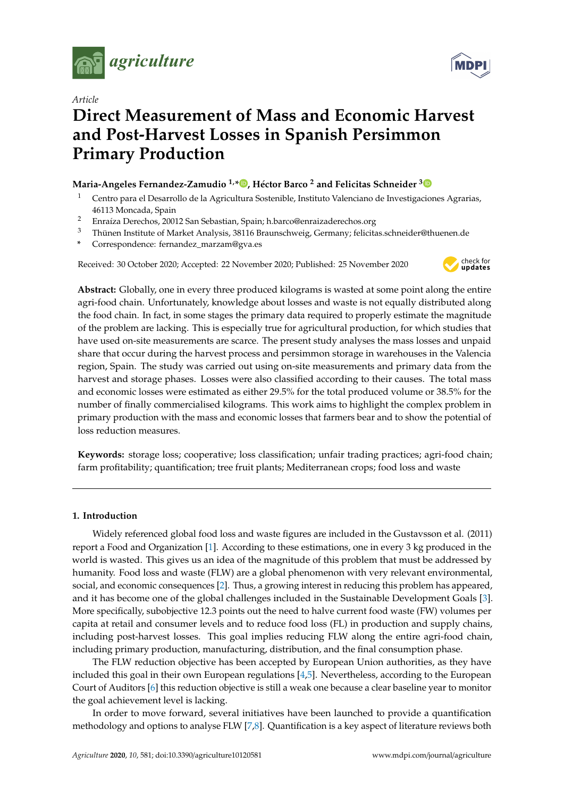

*Article*

# **Direct Measurement of Mass and Economic Harvest and Post-Harvest Losses in Spanish Persimmon Primary Production**

# **Maria-Angeles Fernandez-Zamudio 1,\* [,](https://orcid.org/0000-0003-0424-1349) Héctor Barco <sup>2</sup> and Felicitas Schneider [3](https://orcid.org/0000-0002-9654-4162)**

- <sup>1</sup> Centro para el Desarrollo de la Agricultura Sostenible, Instituto Valenciano de Investigaciones Agrarias, 46113 Moncada, Spain
- <sup>2</sup> Enraíza Derechos, 20012 San Sebastian, Spain; h.barco@enraizaderechos.org
- <sup>3</sup> Thünen Institute of Market Analysis, 38116 Braunschweig, Germany; felicitas.schneider@thuenen.de
- **\*** Correspondence: fernandez\_marzam@gva.es

Received: 30 October 2020; Accepted: 22 November 2020; Published: 25 November 2020



**Abstract:** Globally, one in every three produced kilograms is wasted at some point along the entire agri-food chain. Unfortunately, knowledge about losses and waste is not equally distributed along the food chain. In fact, in some stages the primary data required to properly estimate the magnitude of the problem are lacking. This is especially true for agricultural production, for which studies that have used on-site measurements are scarce. The present study analyses the mass losses and unpaid share that occur during the harvest process and persimmon storage in warehouses in the Valencia region, Spain. The study was carried out using on-site measurements and primary data from the harvest and storage phases. Losses were also classified according to their causes. The total mass and economic losses were estimated as either 29.5% for the total produced volume or 38.5% for the number of finally commercialised kilograms. This work aims to highlight the complex problem in primary production with the mass and economic losses that farmers bear and to show the potential of loss reduction measures.

**Keywords:** storage loss; cooperative; loss classification; unfair trading practices; agri-food chain; farm profitability; quantification; tree fruit plants; Mediterranean crops; food loss and waste

# **1. Introduction**

Widely referenced global food loss and waste figures are included in the Gustavsson et al. (2011) report a Food and Organization [\[1\]](#page-18-0). According to these estimations, one in every 3 kg produced in the world is wasted. This gives us an idea of the magnitude of this problem that must be addressed by humanity. Food loss and waste (FLW) are a global phenomenon with very relevant environmental, social, and economic consequences [\[2\]](#page-18-1). Thus, a growing interest in reducing this problem has appeared, and it has become one of the global challenges included in the Sustainable Development Goals [\[3\]](#page-18-2). More specifically, subobjective 12.3 points out the need to halve current food waste (FW) volumes per capita at retail and consumer levels and to reduce food loss (FL) in production and supply chains, including post-harvest losses. This goal implies reducing FLW along the entire agri-food chain, including primary production, manufacturing, distribution, and the final consumption phase.

The FLW reduction objective has been accepted by European Union authorities, as they have included this goal in their own European regulations [\[4](#page-18-3)[,5\]](#page-18-4). Nevertheless, according to the European Court of Auditors [\[6\]](#page-18-5) this reduction objective is still a weak one because a clear baseline year to monitor the goal achievement level is lacking.

In order to move forward, several initiatives have been launched to provide a quantification methodology and options to analyse FLW [\[7,](#page-18-6)[8\]](#page-18-7). Quantification is a key aspect of literature reviews both

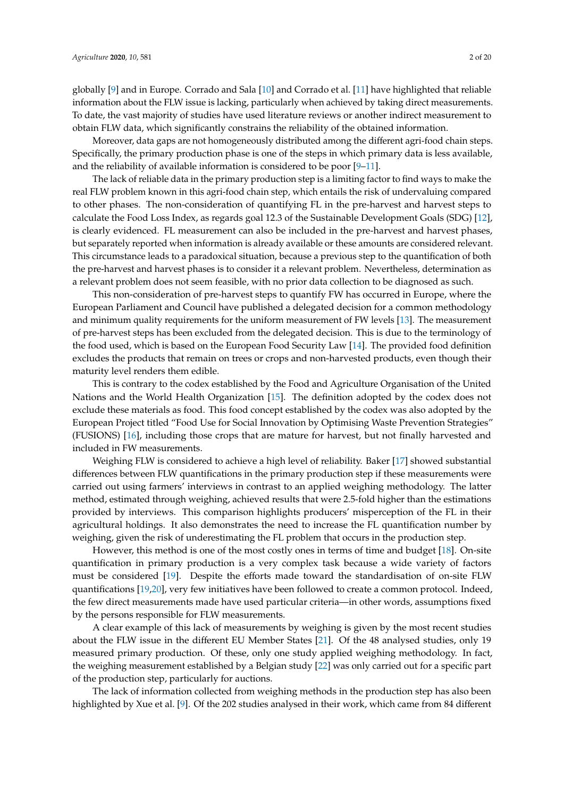globally [\[9\]](#page-18-8) and in Europe. Corrado and Sala [\[10\]](#page-18-9) and Corrado et al. [\[11\]](#page-18-10) have highlighted that reliable information about the FLW issue is lacking, particularly when achieved by taking direct measurements. To date, the vast majority of studies have used literature reviews or another indirect measurement to obtain FLW data, which significantly constrains the reliability of the obtained information.

Moreover, data gaps are not homogeneously distributed among the different agri-food chain steps. Specifically, the primary production phase is one of the steps in which primary data is less available, and the reliability of available information is considered to be poor  $[9-11]$  $[9-11]$ .

The lack of reliable data in the primary production step is a limiting factor to find ways to make the real FLW problem known in this agri-food chain step, which entails the risk of undervaluing compared to other phases. The non-consideration of quantifying FL in the pre-harvest and harvest steps to calculate the Food Loss Index, as regards goal 12.3 of the Sustainable Development Goals (SDG) [\[12\]](#page-18-11), is clearly evidenced. FL measurement can also be included in the pre-harvest and harvest phases, but separately reported when information is already available or these amounts are considered relevant. This circumstance leads to a paradoxical situation, because a previous step to the quantification of both the pre-harvest and harvest phases is to consider it a relevant problem. Nevertheless, determination as a relevant problem does not seem feasible, with no prior data collection to be diagnosed as such.

This non-consideration of pre-harvest steps to quantify FW has occurred in Europe, where the European Parliament and Council have published a delegated decision for a common methodology and minimum quality requirements for the uniform measurement of FW levels [\[13\]](#page-18-12). The measurement of pre-harvest steps has been excluded from the delegated decision. This is due to the terminology of the food used, which is based on the European Food Security Law [\[14\]](#page-18-13). The provided food definition excludes the products that remain on trees or crops and non-harvested products, even though their maturity level renders them edible.

This is contrary to the codex established by the Food and Agriculture Organisation of the United Nations and the World Health Organization [\[15\]](#page-18-14). The definition adopted by the codex does not exclude these materials as food. This food concept established by the codex was also adopted by the European Project titled "Food Use for Social Innovation by Optimising Waste Prevention Strategies" (FUSIONS) [\[16\]](#page-18-15), including those crops that are mature for harvest, but not finally harvested and included in FW measurements.

Weighing FLW is considered to achieve a high level of reliability. Baker [\[17\]](#page-18-16) showed substantial differences between FLW quantifications in the primary production step if these measurements were carried out using farmers' interviews in contrast to an applied weighing methodology. The latter method, estimated through weighing, achieved results that were 2.5-fold higher than the estimations provided by interviews. This comparison highlights producers' misperception of the FL in their agricultural holdings. It also demonstrates the need to increase the FL quantification number by weighing, given the risk of underestimating the FL problem that occurs in the production step.

However, this method is one of the most costly ones in terms of time and budget [\[18\]](#page-18-17). On-site quantification in primary production is a very complex task because a wide variety of factors must be considered [\[19\]](#page-19-0). Despite the efforts made toward the standardisation of on-site FLW quantifications [\[19](#page-19-0)[,20\]](#page-19-1), very few initiatives have been followed to create a common protocol. Indeed, the few direct measurements made have used particular criteria—in other words, assumptions fixed by the persons responsible for FLW measurements.

A clear example of this lack of measurements by weighing is given by the most recent studies about the FLW issue in the different EU Member States [\[21\]](#page-19-2). Of the 48 analysed studies, only 19 measured primary production. Of these, only one study applied weighing methodology. In fact, the weighing measurement established by a Belgian study [\[22\]](#page-19-3) was only carried out for a specific part of the production step, particularly for auctions.

The lack of information collected from weighing methods in the production step has also been highlighted by Xue et al. [\[9\]](#page-18-8). Of the 202 studies analysed in their work, which came from 84 different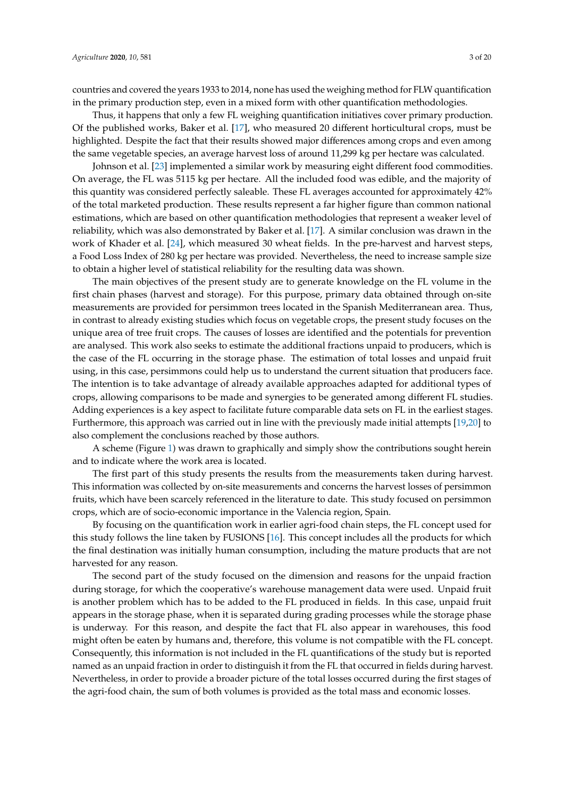countries and covered the years 1933 to 2014, none has used the weighing method for FLW quantification in the primary production step, even in a mixed form with other quantification methodologies.

Thus, it happens that only a few FL weighing quantification initiatives cover primary production. Of the published works, Baker et al. [\[17\]](#page-18-16), who measured 20 different horticultural crops, must be highlighted. Despite the fact that their results showed major differences among crops and even among the same vegetable species, an average harvest loss of around 11,299 kg per hectare was calculated.

Johnson et al. [\[23\]](#page-19-4) implemented a similar work by measuring eight different food commodities. On average, the FL was 5115 kg per hectare. All the included food was edible, and the majority of this quantity was considered perfectly saleable. These FL averages accounted for approximately 42% of the total marketed production. These results represent a far higher figure than common national estimations, which are based on other quantification methodologies that represent a weaker level of reliability, which was also demonstrated by Baker et al. [\[17\]](#page-18-16). A similar conclusion was drawn in the work of Khader et al. [\[24\]](#page-19-5), which measured 30 wheat fields. In the pre-harvest and harvest steps, a Food Loss Index of 280 kg per hectare was provided. Nevertheless, the need to increase sample size to obtain a higher level of statistical reliability for the resulting data was shown.

The main objectives of the present study are to generate knowledge on the FL volume in the first chain phases (harvest and storage). For this purpose, primary data obtained through on-site measurements are provided for persimmon trees located in the Spanish Mediterranean area. Thus, in contrast to already existing studies which focus on vegetable crops, the present study focuses on the unique area of tree fruit crops. The causes of losses are identified and the potentials for prevention are analysed. This work also seeks to estimate the additional fractions unpaid to producers, which is the case of the FL occurring in the storage phase. The estimation of total losses and unpaid fruit using, in this case, persimmons could help us to understand the current situation that producers face. The intention is to take advantage of already available approaches adapted for additional types of crops, allowing comparisons to be made and synergies to be generated among different FL studies. Adding experiences is a key aspect to facilitate future comparable data sets on FL in the earliest stages. Furthermore, this approach was carried out in line with the previously made initial attempts [\[19,](#page-19-0)[20\]](#page-19-1) to also complement the conclusions reached by those authors.

A scheme (Figure [1\)](#page-3-0) was drawn to graphically and simply show the contributions sought herein and to indicate where the work area is located.

The first part of this study presents the results from the measurements taken during harvest. This information was collected by on-site measurements and concerns the harvest losses of persimmon fruits, which have been scarcely referenced in the literature to date. This study focused on persimmon crops, which are of socio-economic importance in the Valencia region, Spain.

By focusing on the quantification work in earlier agri-food chain steps, the FL concept used for this study follows the line taken by FUSIONS [\[16\]](#page-18-15). This concept includes all the products for which the final destination was initially human consumption, including the mature products that are not harvested for any reason.

The second part of the study focused on the dimension and reasons for the unpaid fraction during storage, for which the cooperative's warehouse management data were used. Unpaid fruit is another problem which has to be added to the FL produced in fields. In this case, unpaid fruit appears in the storage phase, when it is separated during grading processes while the storage phase is underway. For this reason, and despite the fact that FL also appear in warehouses, this food might often be eaten by humans and, therefore, this volume is not compatible with the FL concept. Consequently, this information is not included in the FL quantifications of the study but is reported named as an unpaid fraction in order to distinguish it from the FL that occurred in fields during harvest. Nevertheless, in order to provide a broader picture of the total losses occurred during the first stages of the agri-food chain, the sum of both volumes is provided as the total mass and economic losses.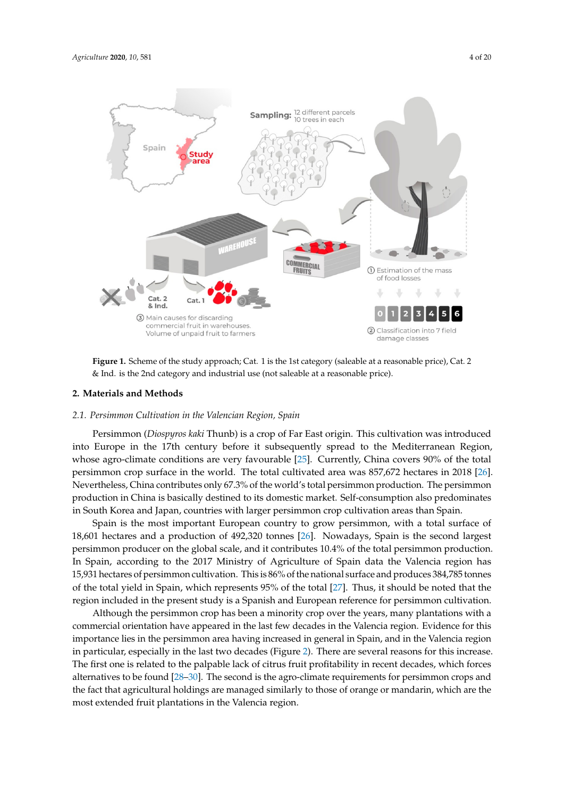<span id="page-3-0"></span>

& Ind. is the 2nd category and industrial use (not saleable at a reasonable price).  $2^{\frac{1}{2}}$ **Figure 1.** Scheme of the study approach; Cat. 1 is the 1st category (saleable at a reasonable price), Cat. 2

#### **2. Materials and Methods**

# This information was collected by on-site measurements and concerns the harvest losses of *2.1. Persimmon Cultivation in the Valencian Region, Spain*

Persimmon (*Diospyros kaki* Thunb) is a crop of Far East origin. This cultivation was introduced into Europe in the 17th century before it subsequently spread to the Mediterranean Region, whose agro-climate conditions are very favourable [\[25\]](#page-19-6). Currently, China covers 90% of the total persimmon crop surface in the world. The total cultivated area was 857,672 hectares in 2018 [\[26\]](#page-19-7). .<br>Nevertheless, China contributes only 67.3% of the world's total persimmon production. The persimmon production in China is basically destined to its domestic market. Self-consumption also predominates .<br>in South Korea and Japan, countries with larger persimmon crop cultivation areas than Spain.

Spain is the most important European country to grow persimmon, with a total surface of 18,601 hectares and a production of 492,320 tonnes [\[26\]](#page-19-7). Nowadays, Spain is the second largest persimmon producer on the global scale, and it contributes 10.4% of the total persimmon production. In Spain, according to the 2017 Ministry of Agriculture of Spain data the Valencia region has 15,931 hectares of persimmon cultivation. This is 86% of the national surface and produces 384,785 tonnes of the total yield in Spain, which represents 95% of the total [\[27\]](#page-19-8). Thus, it should be noted that the region included in the present study is a Spanish and European reference for persimmon cultivation.

Although the persimmon crop has been a minority crop over the years, many plantations with a commercial orientation have appeared in the last few decades in the Valencia region. Evidence for this importance lies in the persimmon area having increased in general in Spain, and in the Valencia region The first one is related to the palpable lack of citrus fruit profitability in recent decades, which forces *2.1. Persimmon Cultivation in the Valencian Region, Spain*  the fact that agricultural holdings are managed similarly to those of orange or mandarin, which are the most extended fruit plantations in the Valencia region. in particular, especially in the last two decades (Figure [2\)](#page-4-0). There are several reasons for this increase. alternatives to be found [\[28–](#page-19-9)[30\]](#page-19-10). The second is the agro-climate requirements for persimmon crops and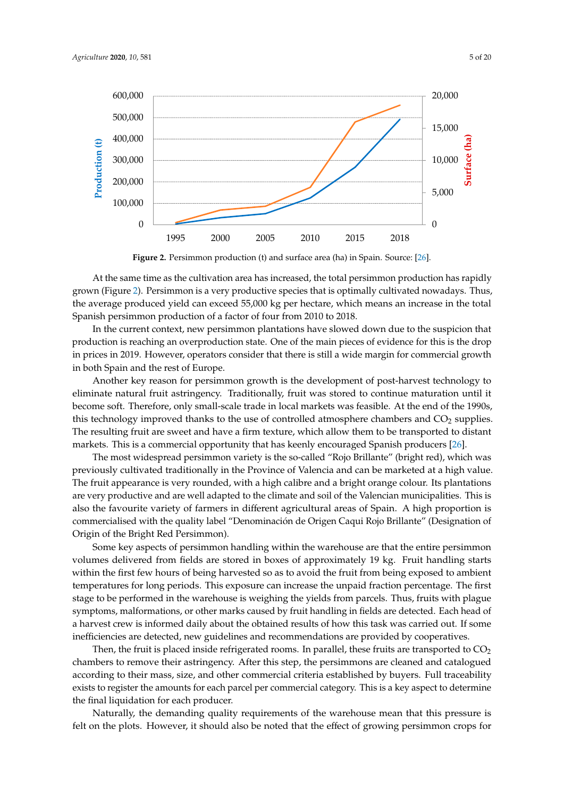<span id="page-4-0"></span>

**Figure 2.** Persimmon production (t) and surface area (ha) in Spain. Source: [26]. **Figure 2.** Persimmon production (t) and surface area (ha) in Spain. Source: [\[26\]](#page-19-7).

grown (Figure [2\)](#page-4-0). Persimmon is a very productive species that is optimally cultivated nowadays. Thus, the average produced yield can exceed 55,000 kg per hectare, which means an increase in the total Spanish persimmon production of a factor of four from 2010 to 2018. At the same time as the cultivation area has increased, the total persimmon production has rapidly

In the current context, new persimmon plantations have slowed down due to the suspicion that production is reaching an overproduction state. One of the main pieces of evidence for this is the drop In prices in 2019. However, operators consider that there is still a wide margin for commercial growth in both Spain and the rest of Europe.

Another key reason for persimmon growth is the development of post-harvest technology to eliminate natural fruit astringency. Traditionally, fruit was stored to continue maturation until it become soft. Therefore, only small-scale trade in local markets was feasible. At the end of the 1990s, this technology improved thanks to the use of controlled atmosphere chambers and  $CO<sub>2</sub>$  supplies. The resulting fruit are sweet and have a firm texture, which allow them to be transported to distant markets. This is a commercial opportunity that has keenly encouraged Spanish producers [\[26\]](#page-19-7).

The most widespread persimmon variety is the so-called "Rojo Brillante" (bright red), which was previously cultivated traditionally in the Province of Valencia and can be marketed at a high value. The fruit appearance is very rounded, with a high calibre and a bright orange colour. Its plantations are very productive and are well adapted to the climate and soil of the Valencian municipalities. This is also the favourite variety of farmers in different agricultural areas of Spain. A high proportion is commercialised with the quality label "Denominación de Origen Caqui Rojo Brillante" (Designation of Origin of the Bright Red Persimmon).

Some key aspects of persimmon handling within the warehouse are that the entire persimmon volumes delivered from fields are stored in boxes of approximately 19 kg. Fruit handling starts within the first few hours of being harvested so as to avoid the fruit from being exposed to ambient temperatures for long periods. This exposure can increase the unpaid fraction percentage. The first stage to be performed in the warehouse is weighing the yields from parcels. Thus, fruits with plague symptoms, malformations, or other marks caused by fruit handling in fields are detected. Each head of a harvest crew is informed daily about the obtained results of how this task was carried out. If some inefficiencies are detected, new guidelines and recommendations are provided by cooperatives.

Then, the fruit is placed inside refrigerated rooms. In parallel, these fruits are transported to  $CO<sub>2</sub>$ chambers to remove their astringency. After this step, the persimmons are cleaned and catalogued according to their mass, size, and other commercial criteria established by buyers. Full traceability exists to register the amounts for each parcel per commercial category. This is a key aspect to determine the final liquidation for each producer.

Naturally, the demanding quality requirements of the warehouse mean that this pressure is felt on the plots. However, it should also be noted that the effect of growing persimmon crops for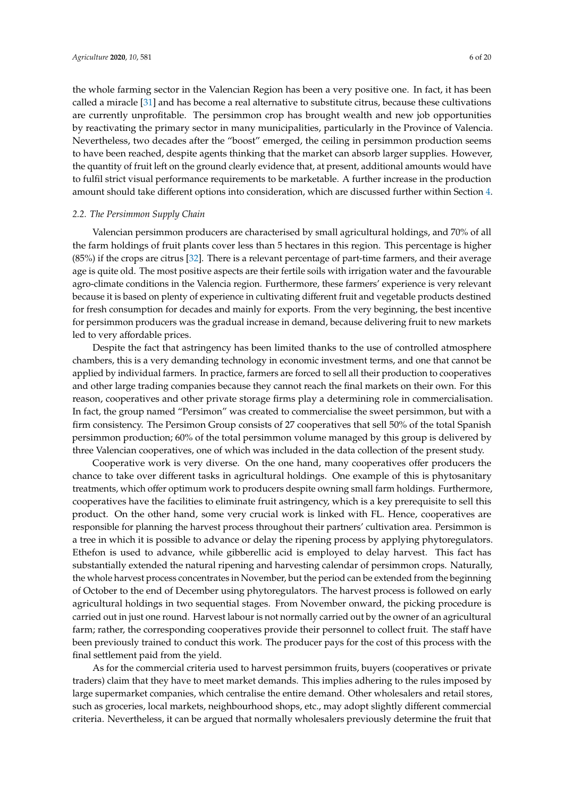the whole farming sector in the Valencian Region has been a very positive one. In fact, it has been called a miracle [\[31\]](#page-19-11) and has become a real alternative to substitute citrus, because these cultivations are currently unprofitable. The persimmon crop has brought wealth and new job opportunities by reactivating the primary sector in many municipalities, particularly in the Province of Valencia. Nevertheless, two decades after the "boost" emerged, the ceiling in persimmon production seems to have been reached, despite agents thinking that the market can absorb larger supplies. However, the quantity of fruit left on the ground clearly evidence that, at present, additional amounts would have to fulfil strict visual performance requirements to be marketable. A further increase in the production amount should take different options into consideration, which are discussed further within Section [4.](#page-13-0)

#### *2.2. The Persimmon Supply Chain*

Valencian persimmon producers are characterised by small agricultural holdings, and 70% of all the farm holdings of fruit plants cover less than 5 hectares in this region. This percentage is higher (85%) if the crops are citrus [\[32\]](#page-19-12). There is a relevant percentage of part-time farmers, and their average age is quite old. The most positive aspects are their fertile soils with irrigation water and the favourable agro-climate conditions in the Valencia region. Furthermore, these farmers' experience is very relevant because it is based on plenty of experience in cultivating different fruit and vegetable products destined for fresh consumption for decades and mainly for exports. From the very beginning, the best incentive for persimmon producers was the gradual increase in demand, because delivering fruit to new markets led to very affordable prices.

Despite the fact that astringency has been limited thanks to the use of controlled atmosphere chambers, this is a very demanding technology in economic investment terms, and one that cannot be applied by individual farmers. In practice, farmers are forced to sell all their production to cooperatives and other large trading companies because they cannot reach the final markets on their own. For this reason, cooperatives and other private storage firms play a determining role in commercialisation. In fact, the group named "Persimon" was created to commercialise the sweet persimmon, but with a firm consistency. The Persimon Group consists of 27 cooperatives that sell 50% of the total Spanish persimmon production; 60% of the total persimmon volume managed by this group is delivered by three Valencian cooperatives, one of which was included in the data collection of the present study.

Cooperative work is very diverse. On the one hand, many cooperatives offer producers the chance to take over different tasks in agricultural holdings. One example of this is phytosanitary treatments, which offer optimum work to producers despite owning small farm holdings. Furthermore, cooperatives have the facilities to eliminate fruit astringency, which is a key prerequisite to sell this product. On the other hand, some very crucial work is linked with FL. Hence, cooperatives are responsible for planning the harvest process throughout their partners' cultivation area. Persimmon is a tree in which it is possible to advance or delay the ripening process by applying phytoregulators. Ethefon is used to advance, while gibberellic acid is employed to delay harvest. This fact has substantially extended the natural ripening and harvesting calendar of persimmon crops. Naturally, the whole harvest process concentrates in November, but the period can be extended from the beginning of October to the end of December using phytoregulators. The harvest process is followed on early agricultural holdings in two sequential stages. From November onward, the picking procedure is carried out in just one round. Harvest labour is not normally carried out by the owner of an agricultural farm; rather, the corresponding cooperatives provide their personnel to collect fruit. The staff have been previously trained to conduct this work. The producer pays for the cost of this process with the final settlement paid from the yield.

As for the commercial criteria used to harvest persimmon fruits, buyers (cooperatives or private traders) claim that they have to meet market demands. This implies adhering to the rules imposed by large supermarket companies, which centralise the entire demand. Other wholesalers and retail stores, such as groceries, local markets, neighbourhood shops, etc., may adopt slightly different commercial criteria. Nevertheless, it can be argued that normally wholesalers previously determine the fruit that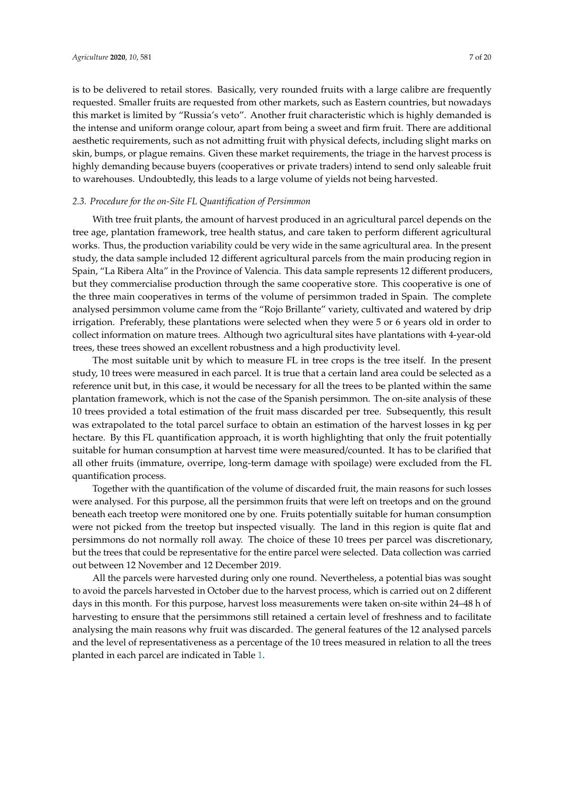is to be delivered to retail stores. Basically, very rounded fruits with a large calibre are frequently requested. Smaller fruits are requested from other markets, such as Eastern countries, but nowadays this market is limited by "Russia's veto". Another fruit characteristic which is highly demanded is the intense and uniform orange colour, apart from being a sweet and firm fruit. There are additional aesthetic requirements, such as not admitting fruit with physical defects, including slight marks on skin, bumps, or plague remains. Given these market requirements, the triage in the harvest process is highly demanding because buyers (cooperatives or private traders) intend to send only saleable fruit to warehouses. Undoubtedly, this leads to a large volume of yields not being harvested.

# *2.3. Procedure for the on-Site FL Quantification of Persimmon*

With tree fruit plants, the amount of harvest produced in an agricultural parcel depends on the tree age, plantation framework, tree health status, and care taken to perform different agricultural works. Thus, the production variability could be very wide in the same agricultural area. In the present study, the data sample included 12 different agricultural parcels from the main producing region in Spain, "La Ribera Alta" in the Province of Valencia. This data sample represents 12 different producers, but they commercialise production through the same cooperative store. This cooperative is one of the three main cooperatives in terms of the volume of persimmon traded in Spain. The complete analysed persimmon volume came from the "Rojo Brillante" variety, cultivated and watered by drip irrigation. Preferably, these plantations were selected when they were 5 or 6 years old in order to collect information on mature trees. Although two agricultural sites have plantations with 4-year-old trees, these trees showed an excellent robustness and a high productivity level.

The most suitable unit by which to measure FL in tree crops is the tree itself. In the present study, 10 trees were measured in each parcel. It is true that a certain land area could be selected as a reference unit but, in this case, it would be necessary for all the trees to be planted within the same plantation framework, which is not the case of the Spanish persimmon. The on-site analysis of these 10 trees provided a total estimation of the fruit mass discarded per tree. Subsequently, this result was extrapolated to the total parcel surface to obtain an estimation of the harvest losses in kg per hectare. By this FL quantification approach, it is worth highlighting that only the fruit potentially suitable for human consumption at harvest time were measured/counted. It has to be clarified that all other fruits (immature, overripe, long-term damage with spoilage) were excluded from the FL quantification process.

Together with the quantification of the volume of discarded fruit, the main reasons for such losses were analysed. For this purpose, all the persimmon fruits that were left on treetops and on the ground beneath each treetop were monitored one by one. Fruits potentially suitable for human consumption were not picked from the treetop but inspected visually. The land in this region is quite flat and persimmons do not normally roll away. The choice of these 10 trees per parcel was discretionary, but the trees that could be representative for the entire parcel were selected. Data collection was carried out between 12 November and 12 December 2019.

All the parcels were harvested during only one round. Nevertheless, a potential bias was sought to avoid the parcels harvested in October due to the harvest process, which is carried out on 2 different days in this month. For this purpose, harvest loss measurements were taken on-site within 24–48 h of harvesting to ensure that the persimmons still retained a certain level of freshness and to facilitate analysing the main reasons why fruit was discarded. The general features of the 12 analysed parcels and the level of representativeness as a percentage of the 10 trees measured in relation to all the trees planted in each parcel are indicated in Table [1.](#page-7-0)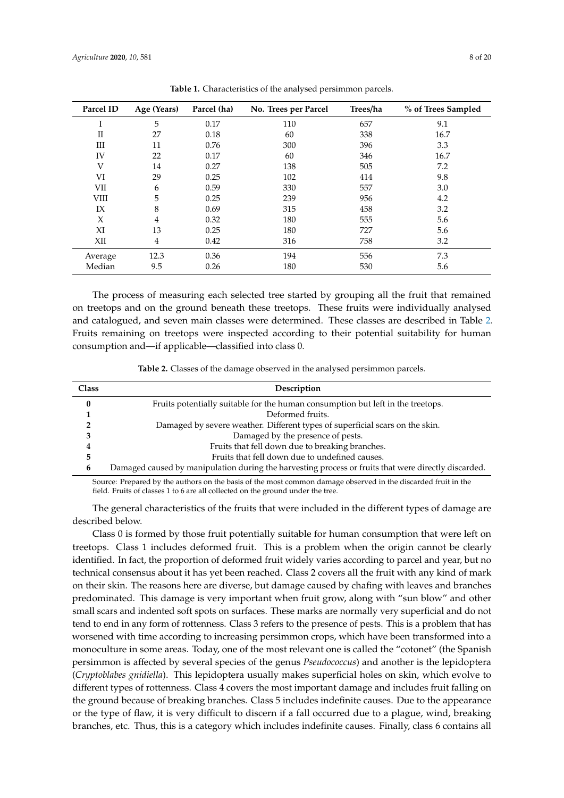<span id="page-7-0"></span>

| Parcel ID   | Age (Years) | Parcel (ha) | No. Trees per Parcel | Trees/ha | % of Trees Sampled |
|-------------|-------------|-------------|----------------------|----------|--------------------|
| 1           | 5           | 0.17        | 110                  | 657      | 9.1                |
| $_{\rm II}$ | 27          | 0.18        | 60                   | 338      | 16.7               |
| Ш           | 11          | 0.76        | 300                  | 396      | 3.3                |
| IV          | 22          | 0.17        | 60                   | 346      | 16.7               |
| V           | 14          | 0.27        | 138                  | 505      | 7.2                |
| VI          | 29          | 0.25        | 102                  | 414      | 9.8                |
| VІІ         | 6           | 0.59        | 330                  | 557      | 3.0                |
| VIII        | 5           | 0.25        | 239                  | 956      | 4.2                |
| IX          | 8           | 0.69        | 315                  | 458      | 3.2                |
| X           | 4           | 0.32        | 180                  | 555      | 5.6                |
| XI          | 13          | 0.25        | 180                  | 727      | 5.6                |
| XII         | 4           | 0.42        | 316                  | 758      | 3.2                |
| Average     | 12.3        | 0.36        | 194                  | 556      | 7.3                |
| Median      | 9.5         | 0.26        | 180                  | 530      | 5.6                |

**Table 1.** Characteristics of the analysed persimmon parcels.

The process of measuring each selected tree started by grouping all the fruit that remained on treetops and on the ground beneath these treetops. These fruits were individually analysed and catalogued, and seven main classes were determined. These classes are described in Table [2.](#page-7-1) Fruits remaining on treetops were inspected according to their potential suitability for human consumption and—if applicable—classified into class 0.

**Table 2.** Classes of the damage observed in the analysed persimmon parcels.

<span id="page-7-1"></span>

| Class                                                                                                         | Description                                                                                          |  |  |  |  |  |
|---------------------------------------------------------------------------------------------------------------|------------------------------------------------------------------------------------------------------|--|--|--|--|--|
| 0                                                                                                             | Fruits potentially suitable for the human consumption but left in the treetops.                      |  |  |  |  |  |
|                                                                                                               | Deformed fruits.                                                                                     |  |  |  |  |  |
|                                                                                                               | Damaged by severe weather. Different types of superficial scars on the skin.                         |  |  |  |  |  |
| 3                                                                                                             | Damaged by the presence of pests.                                                                    |  |  |  |  |  |
| 4                                                                                                             | Fruits that fell down due to breaking branches.                                                      |  |  |  |  |  |
| 5                                                                                                             | Fruits that fell down due to undefined causes.                                                       |  |  |  |  |  |
| 6                                                                                                             | Damaged caused by manipulation during the harvesting process or fruits that were directly discarded. |  |  |  |  |  |
| Source: Prepared by the authors on the basis of the most common damage observed in the discarded fruit in the |                                                                                                      |  |  |  |  |  |

field. Fruits of classes 1 to 6 are all collected on the ground under the tree.

The general characteristics of the fruits that were included in the different types of damage are described below.

Class 0 is formed by those fruit potentially suitable for human consumption that were left on treetops. Class 1 includes deformed fruit. This is a problem when the origin cannot be clearly identified. In fact, the proportion of deformed fruit widely varies according to parcel and year, but no technical consensus about it has yet been reached. Class 2 covers all the fruit with any kind of mark on their skin. The reasons here are diverse, but damage caused by chafing with leaves and branches predominated. This damage is very important when fruit grow, along with "sun blow" and other small scars and indented soft spots on surfaces. These marks are normally very superficial and do not tend to end in any form of rottenness. Class 3 refers to the presence of pests. This is a problem that has worsened with time according to increasing persimmon crops, which have been transformed into a monoculture in some areas. Today, one of the most relevant one is called the "cotonet" (the Spanish persimmon is affected by several species of the genus *Pseudococcus*) and another is the lepidoptera (*Cryptoblabes gnidiella*). This lepidoptera usually makes superficial holes on skin, which evolve to different types of rottenness. Class 4 covers the most important damage and includes fruit falling on the ground because of breaking branches. Class 5 includes indefinite causes. Due to the appearance or the type of flaw, it is very difficult to discern if a fall occurred due to a plague, wind, breaking branches, etc. Thus, this is a category which includes indefinite causes. Finally, class 6 contains all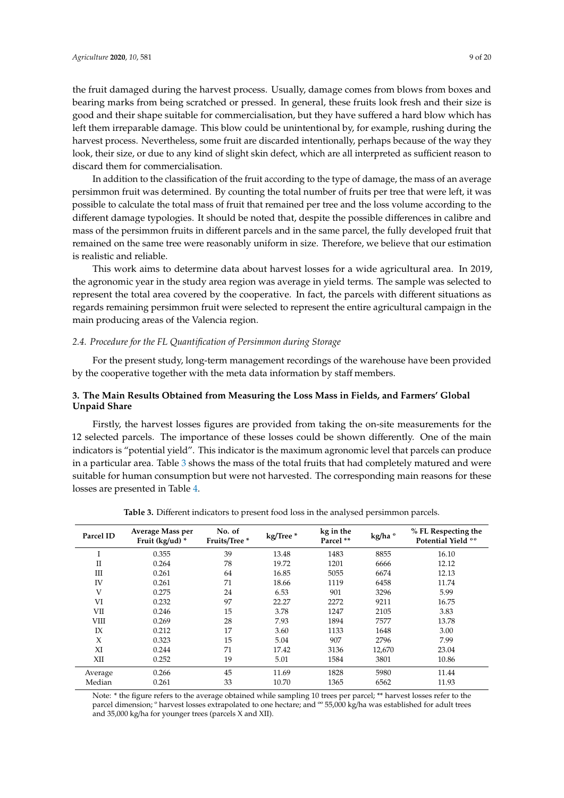the fruit damaged during the harvest process. Usually, damage comes from blows from boxes and bearing marks from being scratched or pressed. In general, these fruits look fresh and their size is good and their shape suitable for commercialisation, but they have suffered a hard blow which has left them irreparable damage. This blow could be unintentional by, for example, rushing during the harvest process. Nevertheless, some fruit are discarded intentionally, perhaps because of the way they look, their size, or due to any kind of slight skin defect, which are all interpreted as sufficient reason to discard them for commercialisation.

In addition to the classification of the fruit according to the type of damage, the mass of an average persimmon fruit was determined. By counting the total number of fruits per tree that were left, it was possible to calculate the total mass of fruit that remained per tree and the loss volume according to the different damage typologies. It should be noted that, despite the possible differences in calibre and mass of the persimmon fruits in different parcels and in the same parcel, the fully developed fruit that remained on the same tree were reasonably uniform in size. Therefore, we believe that our estimation is realistic and reliable.

This work aims to determine data about harvest losses for a wide agricultural area. In 2019, the agronomic year in the study area region was average in yield terms. The sample was selected to represent the total area covered by the cooperative. In fact, the parcels with different situations as regards remaining persimmon fruit were selected to represent the entire agricultural campaign in the main producing areas of the Valencia region.

#### *2.4. Procedure for the FL Quantification of Persimmon during Storage*

For the present study, long-term management recordings of the warehouse have been provided by the cooperative together with the meta data information by staff members.

# **3. The Main Results Obtained from Measuring the Loss Mass in Fields, and Farmers' Global Unpaid Share**

Firstly, the harvest losses figures are provided from taking the on-site measurements for the 12 selected parcels. The importance of these losses could be shown differently. One of the main indicators is "potential yield". This indicator is the maximum agronomic level that parcels can produce in a particular area. Table [3](#page-8-0) shows the mass of the total fruits that had completely matured and were suitable for human consumption but were not harvested. The corresponding main reasons for these losses are presented in Table [4.](#page-9-0)

<span id="page-8-0"></span>

| Parcel ID | Average Mass per<br>Fruit (kg/ud) * | No. of<br>Fruits/Tree* | kg/Tree* | kg in the<br>Parcel ** | kg/ha ° | % FL Respecting the<br>Potential Yield 00 |
|-----------|-------------------------------------|------------------------|----------|------------------------|---------|-------------------------------------------|
| I         | 0.355                               | 39                     | 13.48    | 1483                   | 8855    | 16.10                                     |
| П         | 0.264                               | 78                     | 19.72    | 1201                   | 6666    | 12.12                                     |
| Ш         | 0.261                               | 64                     | 16.85    | 5055                   | 6674    | 12.13                                     |
| IV        | 0.261                               | 71                     | 18.66    | 1119                   | 6458    | 11.74                                     |
| V         | 0.275                               | 24                     | 6.53     | 901                    | 3296    | 5.99                                      |
| VI        | 0.232                               | 97                     | 22.27    | 2272                   | 9211    | 16.75                                     |
| VII       | 0.246                               | 15                     | 3.78     | 1247                   | 2105    | 3.83                                      |
| VIII      | 0.269                               | 28                     | 7.93     | 1894                   | 7577    | 13.78                                     |
| IX        | 0.212                               | 17                     | 3.60     | 1133                   | 1648    | 3.00                                      |
| X         | 0.323                               | 15                     | 5.04     | 907                    | 2796    | 7.99                                      |
| XI        | 0.244                               | 71                     | 17.42    | 3136                   | 12,670  | 23.04                                     |
| ХII       | 0.252                               | 19                     | 5.01     | 1584                   | 3801    | 10.86                                     |
| Average   | 0.266                               | 45                     | 11.69    | 1828                   | 5980    | 11.44                                     |
| Median    | 0.261                               | 33                     | 10.70    | 1365                   | 6562    | 11.93                                     |

|  |  |  |  |  |  |  |  |  |  | <b>Table 3.</b> Different indicators to present food loss in the analysed persimmon parcels. |  |  |
|--|--|--|--|--|--|--|--|--|--|----------------------------------------------------------------------------------------------|--|--|
|--|--|--|--|--|--|--|--|--|--|----------------------------------------------------------------------------------------------|--|--|

Note: \* the figure refers to the average obtained while sampling 10 trees per parcel; \*\* harvest losses refer to the parcel dimension; <sup>o</sup> harvest losses extrapolated to one hectare; and <sup>∞</sup> 55,000 kg/ha was established for adult trees and 35,000 kg/ha for younger trees (parcels X and XII).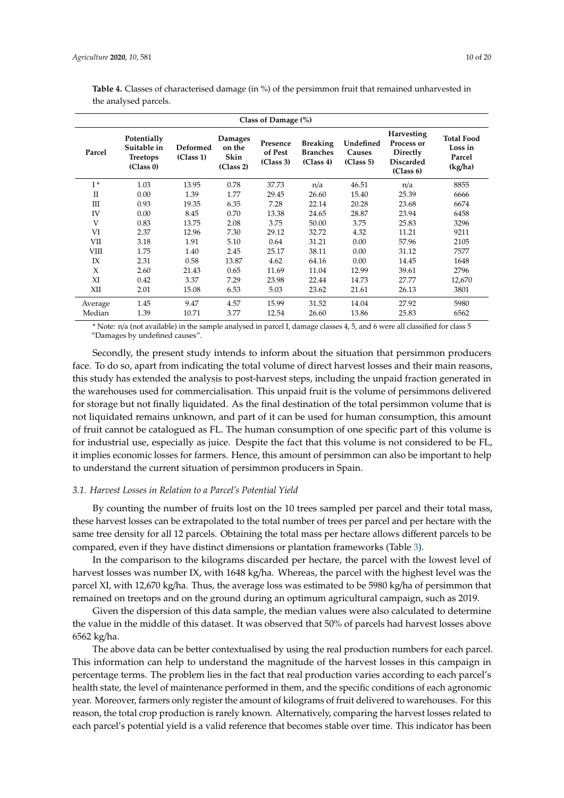| 10 of |  |
|-------|--|
|       |  |

<span id="page-9-0"></span>

| Table 4. Classes of characterised damage (in %) of the persimmon fruit that remained unharvested in |  |  |  |
|-----------------------------------------------------------------------------------------------------|--|--|--|
| the analysed parcels.                                                                               |  |  |  |

| Class of Damage (%) |                                                            |                       |                                               |                                  |                                                 |                                  |                                                                              |                                                   |  |  |
|---------------------|------------------------------------------------------------|-----------------------|-----------------------------------------------|----------------------------------|-------------------------------------------------|----------------------------------|------------------------------------------------------------------------------|---------------------------------------------------|--|--|
| Parcel              | Potentially<br>Suitable in<br><b>Treetops</b><br>(Class 0) | Deformed<br>(Class 1) | Damages<br>on the<br><b>Skin</b><br>(Class 2) | Presence<br>of Pest<br>(Class 3) | <b>Breaking</b><br><b>Branches</b><br>(Class 4) | Undefined<br>Causes<br>(Class 5) | <b>Harvesting</b><br>Process or<br>Directly<br><b>Discarded</b><br>(Class 6) | <b>Total Food</b><br>Loss in<br>Parcel<br>(kg/ha) |  |  |
| $I^*$               | 1.03                                                       | 13.95                 | 0.78                                          | 37.73                            | n/a                                             | 46.51                            | n/a                                                                          | 8855                                              |  |  |
| $\mathbf I$         | 0.00                                                       | 1.39                  | 1.77                                          | 29.45                            | 26.60                                           | 15.40                            | 25.39                                                                        | 6666                                              |  |  |
| Ш                   | 0.93                                                       | 19.35                 | 6.35                                          | 7.28                             | 22.14                                           | 20.28                            | 23.68                                                                        | 6674                                              |  |  |
| IV                  | 0.00                                                       | 8.45                  | 0.70                                          | 13.38                            | 24.65                                           | 28.87                            | 23.94                                                                        | 6458                                              |  |  |
| V                   | 0.83                                                       | 13.75                 | 2.08                                          | 3.75                             | 50.00                                           | 3.75                             | 25.83                                                                        | 3296                                              |  |  |
| VI                  | 2.37                                                       | 12.96                 | 7.30                                          | 29.12                            | 32.72                                           | 4.32                             | 11.21                                                                        | 9211                                              |  |  |
| VII                 | 3.18                                                       | 1.91                  | 5.10                                          | 0.64                             | 31.21                                           | 0.00                             | 57.96                                                                        | 2105                                              |  |  |
| VIII                | 1.75                                                       | 1.40                  | 2.45                                          | 25.17                            | 38.11                                           | 0.00                             | 31.12                                                                        | 7577                                              |  |  |
| IX                  | 2.31                                                       | 0.58                  | 13.87                                         | 4.62                             | 64.16                                           | 0.00                             | 14.45                                                                        | 1648                                              |  |  |
| X                   | 2.60                                                       | 21.43                 | 0.65                                          | 11.69                            | 11.04                                           | 12.99                            | 39.61                                                                        | 2796                                              |  |  |
| XI                  | 0.42                                                       | 3.37                  | 7.29                                          | 23.98                            | 22.44                                           | 14.73                            | 27.77                                                                        | 12,670                                            |  |  |
| ХII                 | 2.01                                                       | 15.08                 | 6.53                                          | 5.03                             | 23.62                                           | 21.61                            | 26.13                                                                        | 3801                                              |  |  |
| Average             | 1.45                                                       | 9.47                  | 4.57                                          | 15.99                            | 31.52                                           | 14.04                            | 27.92                                                                        | 5980                                              |  |  |
| Median              | 1.39                                                       | 10.71                 | 3.77                                          | 12.54                            | 26.60                                           | 13.86                            | 25.83                                                                        | 6562                                              |  |  |

\* Note: n/a (not available) in the sample analysed in parcel I, damage classes 4, 5, and 6 were all classified for class 5 "Damages by undefined causes".

Secondly, the present study intends to inform about the situation that persimmon producers face. To do so, apart from indicating the total volume of direct harvest losses and their main reasons, this study has extended the analysis to post-harvest steps, including the unpaid fraction generated in the warehouses used for commercialisation. This unpaid fruit is the volume of persimmons delivered for storage but not finally liquidated. As the final destination of the total persimmon volume that is not liquidated remains unknown, and part of it can be used for human consumption, this amount of fruit cannot be catalogued as FL. The human consumption of one specific part of this volume is for industrial use, especially as juice. Despite the fact that this volume is not considered to be FL, it implies economic losses for farmers. Hence, this amount of persimmon can also be important to help to understand the current situation of persimmon producers in Spain.

# *3.1. Harvest Losses in Relation to a Parcel's Potential Yield*

By counting the number of fruits lost on the 10 trees sampled per parcel and their total mass, these harvest losses can be extrapolated to the total number of trees per parcel and per hectare with the same tree density for all 12 parcels. Obtaining the total mass per hectare allows different parcels to be compared, even if they have distinct dimensions or plantation frameworks (Table [3\)](#page-8-0).

In the comparison to the kilograms discarded per hectare, the parcel with the lowest level of harvest losses was number IX, with 1648 kg/ha. Whereas, the parcel with the highest level was the parcel XI, with 12,670 kg/ha. Thus, the average loss was estimated to be 5980 kg/ha of persimmon that remained on treetops and on the ground during an optimum agricultural campaign, such as 2019.

Given the dispersion of this data sample, the median values were also calculated to determine the value in the middle of this dataset. It was observed that 50% of parcels had harvest losses above 6562 kg/ha.

The above data can be better contextualised by using the real production numbers for each parcel. This information can help to understand the magnitude of the harvest losses in this campaign in percentage terms. The problem lies in the fact that real production varies according to each parcel's health state, the level of maintenance performed in them, and the specific conditions of each agronomic year. Moreover, farmers only register the amount of kilograms of fruit delivered to warehouses. For this reason, the total crop production is rarely known. Alternatively, comparing the harvest losses related to each parcel's potential yield is a valid reference that becomes stable over time. This indicator has been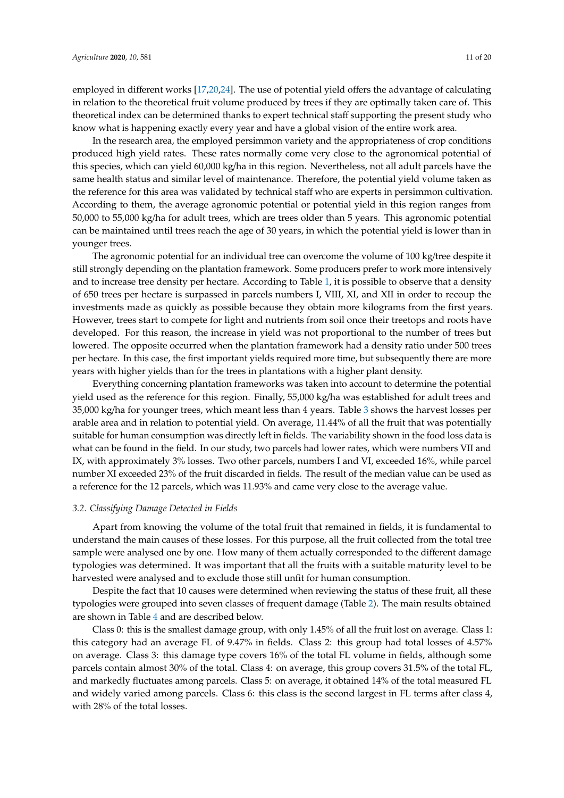employed in different works [\[17,](#page-18-16)[20,](#page-19-1)[24\]](#page-19-5). The use of potential yield offers the advantage of calculating in relation to the theoretical fruit volume produced by trees if they are optimally taken care of. This theoretical index can be determined thanks to expert technical staff supporting the present study who know what is happening exactly every year and have a global vision of the entire work area.

In the research area, the employed persimmon variety and the appropriateness of crop conditions produced high yield rates. These rates normally come very close to the agronomical potential of this species, which can yield 60,000 kg/ha in this region. Nevertheless, not all adult parcels have the same health status and similar level of maintenance. Therefore, the potential yield volume taken as the reference for this area was validated by technical staff who are experts in persimmon cultivation. According to them, the average agronomic potential or potential yield in this region ranges from 50,000 to 55,000 kg/ha for adult trees, which are trees older than 5 years. This agronomic potential can be maintained until trees reach the age of 30 years, in which the potential yield is lower than in younger trees.

The agronomic potential for an individual tree can overcome the volume of 100 kg/tree despite it still strongly depending on the plantation framework. Some producers prefer to work more intensively and to increase tree density per hectare. According to Table [1,](#page-7-0) it is possible to observe that a density of 650 trees per hectare is surpassed in parcels numbers I, VIII, XI, and XII in order to recoup the investments made as quickly as possible because they obtain more kilograms from the first years. However, trees start to compete for light and nutrients from soil once their treetops and roots have developed. For this reason, the increase in yield was not proportional to the number of trees but lowered. The opposite occurred when the plantation framework had a density ratio under 500 trees per hectare. In this case, the first important yields required more time, but subsequently there are more years with higher yields than for the trees in plantations with a higher plant density.

Everything concerning plantation frameworks was taken into account to determine the potential yield used as the reference for this region. Finally, 55,000 kg/ha was established for adult trees and 35,000 kg/ha for younger trees, which meant less than 4 years. Table [3](#page-8-0) shows the harvest losses per arable area and in relation to potential yield. On average, 11.44% of all the fruit that was potentially suitable for human consumption was directly left in fields. The variability shown in the food loss data is what can be found in the field. In our study, two parcels had lower rates, which were numbers VII and IX, with approximately 3% losses. Two other parcels, numbers I and VI, exceeded 16%, while parcel number XI exceeded 23% of the fruit discarded in fields. The result of the median value can be used as a reference for the 12 parcels, which was 11.93% and came very close to the average value.

### *3.2. Classifying Damage Detected in Fields*

Apart from knowing the volume of the total fruit that remained in fields, it is fundamental to understand the main causes of these losses. For this purpose, all the fruit collected from the total tree sample were analysed one by one. How many of them actually corresponded to the different damage typologies was determined. It was important that all the fruits with a suitable maturity level to be harvested were analysed and to exclude those still unfit for human consumption.

Despite the fact that 10 causes were determined when reviewing the status of these fruit, all these typologies were grouped into seven classes of frequent damage (Table [2\)](#page-7-1). The main results obtained are shown in Table [4](#page-9-0) and are described below.

Class 0: this is the smallest damage group, with only 1.45% of all the fruit lost on average. Class 1: this category had an average FL of 9.47% in fields. Class 2: this group had total losses of 4.57% on average. Class 3: this damage type covers 16% of the total FL volume in fields, although some parcels contain almost 30% of the total. Class 4: on average, this group covers 31.5% of the total FL, and markedly fluctuates among parcels. Class 5: on average, it obtained 14% of the total measured FL and widely varied among parcels. Class 6: this class is the second largest in FL terms after class 4, with 28% of the total losses.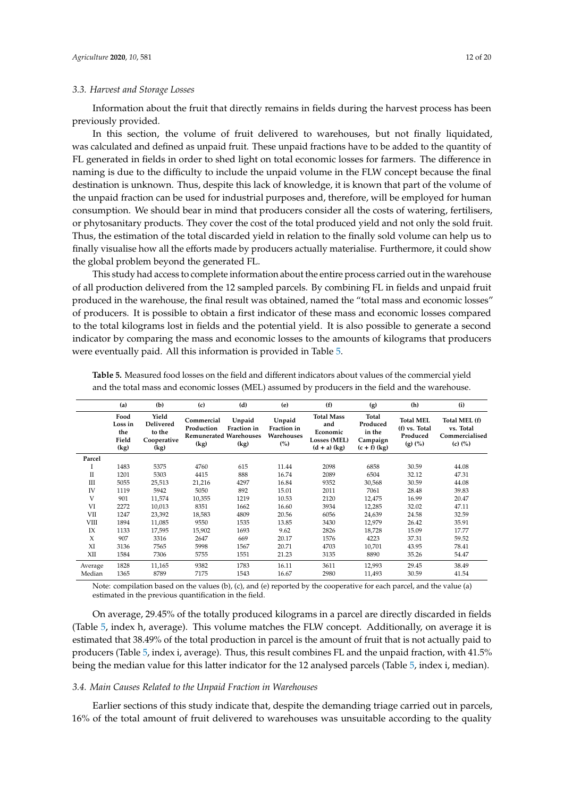## *3.3. Harvest and Storage Losses*

Information about the fruit that directly remains in fields during the harvest process has been previously provided.

In this section, the volume of fruit delivered to warehouses, but not finally liquidated, was calculated and defined as unpaid fruit. These unpaid fractions have to be added to the quantity of FL generated in fields in order to shed light on total economic losses for farmers. The difference in naming is due to the difficulty to include the unpaid volume in the FLW concept because the final destination is unknown. Thus, despite this lack of knowledge, it is known that part of the volume of the unpaid fraction can be used for industrial purposes and, therefore, will be employed for human consumption. We should bear in mind that producers consider all the costs of watering, fertilisers, or phytosanitary products. They cover the cost of the total produced yield and not only the sold fruit. Thus, the estimation of the total discarded yield in relation to the finally sold volume can help us to finally visualise how all the efforts made by producers actually materialise. Furthermore, it could show the global problem beyond the generated FL.

This study had access to complete information about the entire process carried out in the warehouse of all production delivered from the 12 sampled parcels. By combining FL in fields and unpaid fruit produced in the warehouse, the final result was obtained, named the "total mass and economic losses" of producers. It is possible to obtain a first indicator of these mass and economic losses compared to the total kilograms lost in fields and the potential yield. It is also possible to generate a second indicator by comparing the mass and economic losses to the amounts of kilograms that producers were eventually paid. All this information is provided in Table [5.](#page-11-0)

|                   | (a)                                     | (b)                                                        | (c)                                                               | (d)                           | (e)                                        | (f)                                                                    | (g)                                                       | (h)                                                        | (i)                                                        |
|-------------------|-----------------------------------------|------------------------------------------------------------|-------------------------------------------------------------------|-------------------------------|--------------------------------------------|------------------------------------------------------------------------|-----------------------------------------------------------|------------------------------------------------------------|------------------------------------------------------------|
|                   | Food<br>Loss in<br>the<br>Field<br>(kg) | Yield<br><b>Delivered</b><br>to the<br>Cooperative<br>(kg) | Commercial<br>Production<br><b>Remunerated Warehouses</b><br>(kg) | Unpaid<br>Fraction in<br>(kg) | Unpaid<br>Fraction in<br>Warehouses<br>(%) | <b>Total Mass</b><br>and<br>Economic<br>Losses (MEL)<br>$(d + a)$ (kg) | Total<br>Produced<br>in the<br>Campaign<br>$(c + f)$ (kg) | <b>Total MEL</b><br>(f) vs. Total<br>Produced<br>$(g)(\%)$ | Total MEL (f)<br>vs. Total<br>Commercialised<br>(c) $(\%)$ |
| Parcel            |                                         |                                                            |                                                                   |                               |                                            |                                                                        |                                                           |                                                            |                                                            |
| Ι                 | 1483                                    | 5375                                                       | 4760                                                              | 615                           | 11.44                                      | 2098                                                                   | 6858                                                      | 30.59                                                      | 44.08                                                      |
| П                 | 1201                                    | 5303                                                       | 4415                                                              | 888                           | 16.74                                      | 2089                                                                   | 6504                                                      | 32.12                                                      | 47.31                                                      |
| Ш                 | 5055                                    | 25,513                                                     | 21,216                                                            | 4297                          | 16.84                                      | 9352                                                                   | 30,568                                                    | 30.59                                                      | 44.08                                                      |
| IV                | 1119                                    | 5942                                                       | 5050                                                              | 892                           | 15.01                                      | 2011                                                                   | 7061                                                      | 28.48                                                      | 39.83                                                      |
| V                 | 901                                     | 11,574                                                     | 10,355                                                            | 1219                          | 10.53                                      | 2120                                                                   | 12,475                                                    | 16.99                                                      | 20.47                                                      |
| VI                | 2272                                    | 10,013                                                     | 8351                                                              | 1662                          | 16.60                                      | 3934                                                                   | 12,285                                                    | 32.02                                                      | 47.11                                                      |
| VІІ               | 1247                                    | 23,392                                                     | 18,583                                                            | 4809                          | 20.56                                      | 6056                                                                   | 24,639                                                    | 24.58                                                      | 32.59                                                      |
| VIII              | 1894                                    | 11,085                                                     | 9550                                                              | 1535                          | 13.85                                      | 3430                                                                   | 12,979                                                    | 26.42                                                      | 35.91                                                      |
| IX                | 1133                                    | 17,595                                                     | 15,902                                                            | 1693                          | 9.62                                       | 2826                                                                   | 18,728                                                    | 15.09                                                      | 17.77                                                      |
| X                 | 907                                     | 3316                                                       | 2647                                                              | 669                           | 20.17                                      | 1576                                                                   | 4223                                                      | 37.31                                                      | 59.52                                                      |
| XI                | 3136                                    | 7565                                                       | 5998                                                              | 1567                          | 20.71                                      | 4703                                                                   | 10,701                                                    | 43.95                                                      | 78.41                                                      |
| XII               | 1584                                    | 7306                                                       | 5755                                                              | 1551                          | 21.23                                      | 3135                                                                   | 8890                                                      | 35.26                                                      | 54.47                                                      |
| Average<br>Median | 1828<br>1365                            | 11,165<br>8789                                             | 9382<br>7175                                                      | 1783<br>1543                  | 16.11<br>16.67                             | 3611<br>2980                                                           | 12,993<br>11,493                                          | 29.45<br>30.59                                             | 38.49<br>41.54                                             |

<span id="page-11-0"></span>**Table 5.** Measured food losses on the field and different indicators about values of the commercial yield and the total mass and economic losses (MEL) assumed by producers in the field and the warehouse.

Note: compilation based on the values (b), (c), and (e) reported by the cooperative for each parcel, and the value (a) estimated in the previous quantification in the field.

On average, 29.45% of the totally produced kilograms in a parcel are directly discarded in fields (Table [5,](#page-11-0) index h, average). This volume matches the FLW concept. Additionally, on average it is estimated that 38.49% of the total production in parcel is the amount of fruit that is not actually paid to producers (Table [5,](#page-11-0) index i, average). Thus, this result combines FL and the unpaid fraction, with 41.5% being the median value for this latter indicator for the 12 analysed parcels (Table [5,](#page-11-0) index i, median).

## *3.4. Main Causes Related to the Unpaid Fraction in Warehouses*

Earlier sections of this study indicate that, despite the demanding triage carried out in parcels, 16% of the total amount of fruit delivered to warehouses was unsuitable according to the quality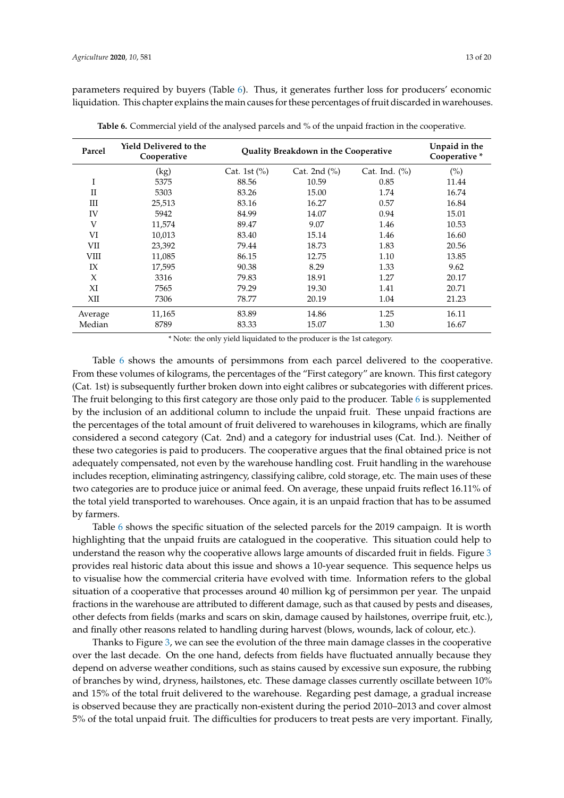parameters required by buyers (Table [6\)](#page-12-0). Thus, it generates further loss for producers' economic liquidation. This chapter explains the main causes for these percentages of fruit discarded in warehouses.

<span id="page-12-0"></span>

| Parcel       | <b>Yield Delivered to the</b><br>Cooperative | <b>Ouality Breakdown in the Cooperative</b> | Unpaid in the<br>Cooperative* |                  |        |
|--------------|----------------------------------------------|---------------------------------------------|-------------------------------|------------------|--------|
|              | (kg)                                         | Cat. 1st $(\% )$                            | Cat. 2nd $(\% )$              | Cat. Ind. $(\%)$ | $(\%)$ |
| I            | 5375                                         | 88.56                                       | 10.59                         | 0.85             | 11.44  |
| $\mathbf{H}$ | 5303                                         | 83.26                                       | 15.00                         | 1.74             | 16.74  |
| Ш            | 25,513                                       | 83.16                                       | 16.27                         | 0.57             | 16.84  |
| IV           | 5942                                         | 84.99                                       | 14.07                         | 0.94             | 15.01  |
| V            | 11,574                                       | 89.47                                       | 9.07                          | 1.46             | 10.53  |
| VI           | 10,013                                       | 83.40                                       | 15.14                         | 1.46             | 16.60  |
| VII          | 23,392                                       | 79.44                                       | 18.73                         | 1.83             | 20.56  |
| VIII         | 11,085                                       | 86.15                                       | 12.75                         | 1.10             | 13.85  |
| IX           | 17,595                                       | 90.38                                       | 8.29                          | 1.33             | 9.62   |
| X            | 3316                                         | 79.83                                       | 18.91                         | 1.27             | 20.17  |
| XI           | 7565                                         | 79.29                                       | 19.30                         | 1.41             | 20.71  |
| ХII          | 7306                                         | 78.77                                       | 20.19                         | 1.04             | 21.23  |
| Average      | 11,165                                       | 83.89                                       | 14.86                         | 1.25             | 16.11  |
| Median       | 8789                                         | 83.33                                       | 15.07                         | 1.30             | 16.67  |

**Table 6.** Commercial yield of the analysed parcels and % of the unpaid fraction in the cooperative.

\* Note: the only yield liquidated to the producer is the 1st category.

Table [6](#page-12-0) shows the amounts of persimmons from each parcel delivered to the cooperative. From these volumes of kilograms, the percentages of the "First category" are known. This first category (Cat. 1st) is subsequently further broken down into eight calibres or subcategories with different prices. The fruit belonging to this first category are those only paid to the producer. Table [6](#page-12-0) is supplemented by the inclusion of an additional column to include the unpaid fruit. These unpaid fractions are the percentages of the total amount of fruit delivered to warehouses in kilograms, which are finally considered a second category (Cat. 2nd) and a category for industrial uses (Cat. Ind.). Neither of these two categories is paid to producers. The cooperative argues that the final obtained price is not adequately compensated, not even by the warehouse handling cost. Fruit handling in the warehouse includes reception, eliminating astringency, classifying calibre, cold storage, etc. The main uses of these two categories are to produce juice or animal feed. On average, these unpaid fruits reflect 16.11% of the total yield transported to warehouses. Once again, it is an unpaid fraction that has to be assumed by farmers.

Table [6](#page-12-0) shows the specific situation of the selected parcels for the 2019 campaign. It is worth highlighting that the unpaid fruits are catalogued in the cooperative. This situation could help to understand the reason why the cooperative allows large amounts of discarded fruit in fields. Figure [3](#page-13-1) provides real historic data about this issue and shows a 10-year sequence. This sequence helps us to visualise how the commercial criteria have evolved with time. Information refers to the global situation of a cooperative that processes around 40 million kg of persimmon per year. The unpaid fractions in the warehouse are attributed to different damage, such as that caused by pests and diseases, other defects from fields (marks and scars on skin, damage caused by hailstones, overripe fruit, etc.), and finally other reasons related to handling during harvest (blows, wounds, lack of colour, etc.).

Thanks to Figure [3,](#page-13-1) we can see the evolution of the three main damage classes in the cooperative over the last decade. On the one hand, defects from fields have fluctuated annually because they depend on adverse weather conditions, such as stains caused by excessive sun exposure, the rubbing of branches by wind, dryness, hailstones, etc. These damage classes currently oscillate between 10% and 15% of the total fruit delivered to the warehouse. Regarding pest damage, a gradual increase is observed because they are practically non-existent during the period 2010–2013 and cover almost 5% of the total unpaid fruit. The difficulties for producers to treat pests are very important. Finally,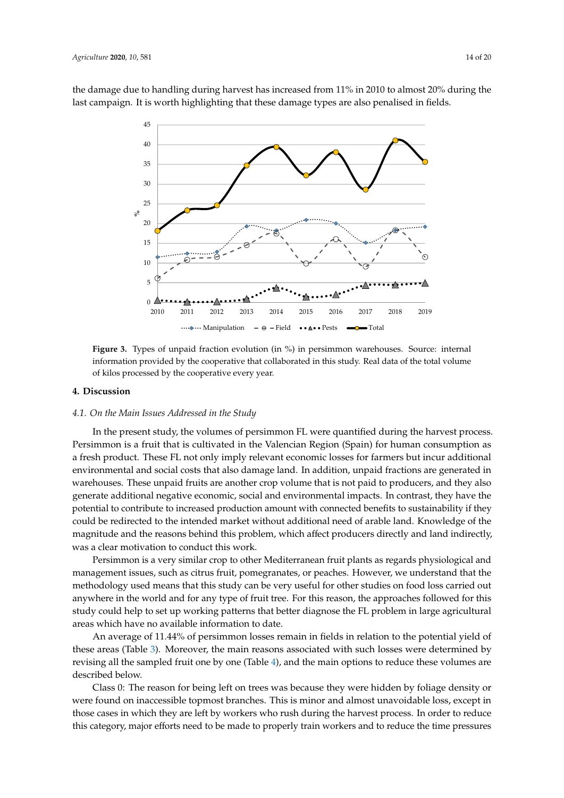<span id="page-13-1"></span>the damage due to handling during harvest has increased from 11% in 2010 to almost 20% during the last campaign. It is worth highlighting that these damage types are also penalised in fields. fruit, the final line of the reasons reasons related to harvest  $\omega$  and  $\omega$  and  $\omega$  of  $\omega$ 



**Figure 3.** Types of unpaid fraction evolution (in %) in persimmon warehouses. Source: internal **Figure 3.** Types of unpaid fraction evolution (in %) in persimmon warehouses. Source: internal information provided by the cooperative that collaborated in this study. Real data of the total volume information provided by the cooperative that collaborated in this study. Real data of the total volume of kilos processed by the cooperative every year. of kilos processed by the cooperative every year.

## <span id="page-13-0"></span>**4. Discussion**

#### o Main Issues, Addressed in the Study 4.1. On the Main Issues Addressed in the Study

In the present study, the volumes of persimmon FL were quantified during the harvest process. on the church the the problem bed in the  $V_1$  and cover  $\Omega$  and  $\Omega$  and  $\Omega$  and cover almost  $\Omega$ Persimmon is a fruit that is cultivated in the Valencian Region (Spain) for human consumption as a fresh product. These FL not only imply relevant economic losses for farmers but incur additional environmental and social costs that also damage land. In addition, unpaid fractions are generated in warehouses. These unpaid fruits are another crop volume that is not paid to producers, and they also generate additional negative economic, social and environmental impacts. In contrast, they have the potential to contribute to increased production amount with connected benefits to sustainability if they could be redirected to the intended market without additional need of arable land. Knowledge of the magnitude and the reasons behind this problem, which affect producers directly and land indirectly, was a clear motivation to conduct this work.

Persimmon is a very similar crop to other Mediterranean fruit plants as regards physiological and management issues, such as citrus fruit, pomegranates, or peaches. However, we understand that the methodology used means that this study can be very useful for other studies on food loss carried out anywhere in the world and for any type of fruit tree. For this reason, the approaches followed for this study could help to set up working patterns that better diagnose the FL problem in large agricultural areas which have no available information to date.

An average of 11.44% of persimmon losses remain in fields in relation to the potential yield of these areas (Table [3\)](#page-8-0). Moreover, the main reasons associated with such losses were determined by revising all the sampled fruit one by one (Table [4\)](#page-9-0), and the main options to reduce these volumes are described below.

Class 0: The reason for being left on trees was because they were hidden by foliage density or were found on inaccessible topmost branches. This is minor and almost unavoidable loss, except in those cases in which they are left by workers who rush during the harvest process. In order to reduce this category, major efforts need to be made to properly train workers and to reduce the time pressures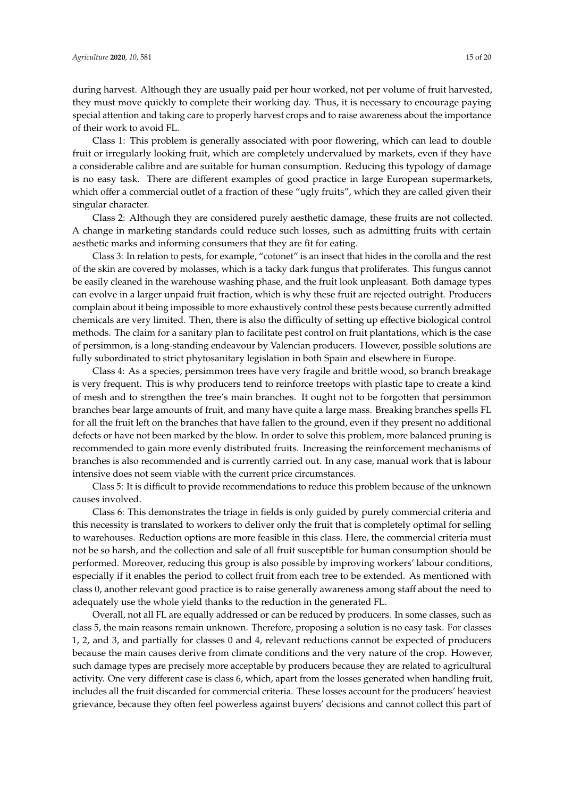during harvest. Although they are usually paid per hour worked, not per volume of fruit harvested, they must move quickly to complete their working day. Thus, it is necessary to encourage paying special attention and taking care to properly harvest crops and to raise awareness about the importance of their work to avoid FL.

Class 1: This problem is generally associated with poor flowering, which can lead to double fruit or irregularly looking fruit, which are completely undervalued by markets, even if they have a considerable calibre and are suitable for human consumption. Reducing this typology of damage is no easy task. There are different examples of good practice in large European supermarkets, which offer a commercial outlet of a fraction of these "ugly fruits", which they are called given their singular character.

Class 2: Although they are considered purely aesthetic damage, these fruits are not collected. A change in marketing standards could reduce such losses, such as admitting fruits with certain aesthetic marks and informing consumers that they are fit for eating.

Class 3: In relation to pests, for example, "cotonet" is an insect that hides in the corolla and the rest of the skin are covered by molasses, which is a tacky dark fungus that proliferates. This fungus cannot be easily cleaned in the warehouse washing phase, and the fruit look unpleasant. Both damage types can evolve in a larger unpaid fruit fraction, which is why these fruit are rejected outright. Producers complain about it being impossible to more exhaustively control these pests because currently admitted chemicals are very limited. Then, there is also the difficulty of setting up effective biological control methods. The claim for a sanitary plan to facilitate pest control on fruit plantations, which is the case of persimmon, is a long-standing endeavour by Valencian producers. However, possible solutions are fully subordinated to strict phytosanitary legislation in both Spain and elsewhere in Europe.

Class 4: As a species, persimmon trees have very fragile and brittle wood, so branch breakage is very frequent. This is why producers tend to reinforce treetops with plastic tape to create a kind of mesh and to strengthen the tree's main branches. It ought not to be forgotten that persimmon branches bear large amounts of fruit, and many have quite a large mass. Breaking branches spells FL for all the fruit left on the branches that have fallen to the ground, even if they present no additional defects or have not been marked by the blow. In order to solve this problem, more balanced pruning is recommended to gain more evenly distributed fruits. Increasing the reinforcement mechanisms of branches is also recommended and is currently carried out. In any case, manual work that is labour intensive does not seem viable with the current price circumstances.

Class 5: It is difficult to provide recommendations to reduce this problem because of the unknown causes involved.

Class 6: This demonstrates the triage in fields is only guided by purely commercial criteria and this necessity is translated to workers to deliver only the fruit that is completely optimal for selling to warehouses. Reduction options are more feasible in this class. Here, the commercial criteria must not be so harsh, and the collection and sale of all fruit susceptible for human consumption should be performed. Moreover, reducing this group is also possible by improving workers' labour conditions, especially if it enables the period to collect fruit from each tree to be extended. As mentioned with class 0, another relevant good practice is to raise generally awareness among staff about the need to adequately use the whole yield thanks to the reduction in the generated FL.

Overall, not all FL are equally addressed or can be reduced by producers. In some classes, such as class 5, the main reasons remain unknown. Therefore, proposing a solution is no easy task. For classes 1, 2, and 3, and partially for classes 0 and 4, relevant reductions cannot be expected of producers because the main causes derive from climate conditions and the very nature of the crop. However, such damage types are precisely more acceptable by producers because they are related to agricultural activity. One very different case is class 6, which, apart from the losses generated when handling fruit, includes all the fruit discarded for commercial criteria. These losses account for the producers' heaviest grievance, because they often feel powerless against buyers' decisions and cannot collect this part of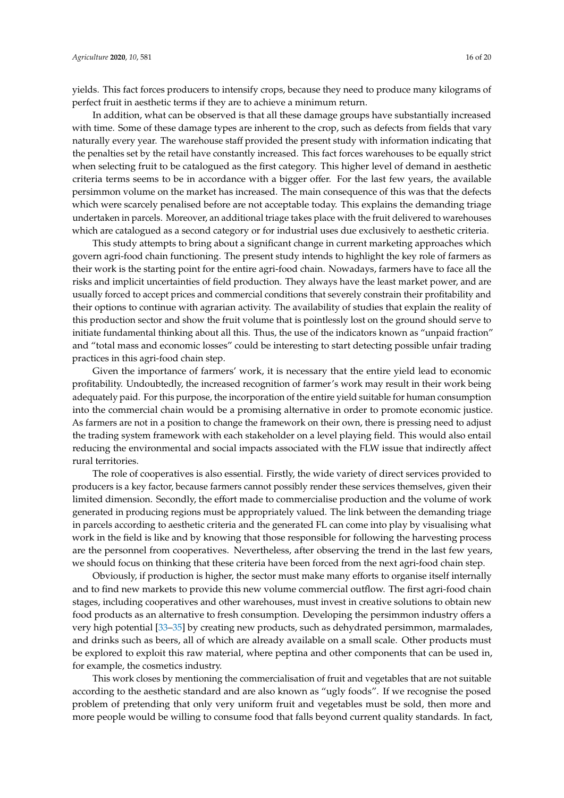yields. This fact forces producers to intensify crops, because they need to produce many kilograms of perfect fruit in aesthetic terms if they are to achieve a minimum return.

In addition, what can be observed is that all these damage groups have substantially increased with time. Some of these damage types are inherent to the crop, such as defects from fields that vary naturally every year. The warehouse staff provided the present study with information indicating that the penalties set by the retail have constantly increased. This fact forces warehouses to be equally strict when selecting fruit to be catalogued as the first category. This higher level of demand in aesthetic criteria terms seems to be in accordance with a bigger offer. For the last few years, the available persimmon volume on the market has increased. The main consequence of this was that the defects which were scarcely penalised before are not acceptable today. This explains the demanding triage undertaken in parcels. Moreover, an additional triage takes place with the fruit delivered to warehouses which are catalogued as a second category or for industrial uses due exclusively to aesthetic criteria.

This study attempts to bring about a significant change in current marketing approaches which govern agri-food chain functioning. The present study intends to highlight the key role of farmers as their work is the starting point for the entire agri-food chain. Nowadays, farmers have to face all the risks and implicit uncertainties of field production. They always have the least market power, and are usually forced to accept prices and commercial conditions that severely constrain their profitability and their options to continue with agrarian activity. The availability of studies that explain the reality of this production sector and show the fruit volume that is pointlessly lost on the ground should serve to initiate fundamental thinking about all this. Thus, the use of the indicators known as "unpaid fraction" and "total mass and economic losses" could be interesting to start detecting possible unfair trading practices in this agri-food chain step.

Given the importance of farmers' work, it is necessary that the entire yield lead to economic profitability. Undoubtedly, the increased recognition of farmer's work may result in their work being adequately paid. For this purpose, the incorporation of the entire yield suitable for human consumption into the commercial chain would be a promising alternative in order to promote economic justice. As farmers are not in a position to change the framework on their own, there is pressing need to adjust the trading system framework with each stakeholder on a level playing field. This would also entail reducing the environmental and social impacts associated with the FLW issue that indirectly affect rural territories.

The role of cooperatives is also essential. Firstly, the wide variety of direct services provided to producers is a key factor, because farmers cannot possibly render these services themselves, given their limited dimension. Secondly, the effort made to commercialise production and the volume of work generated in producing regions must be appropriately valued. The link between the demanding triage in parcels according to aesthetic criteria and the generated FL can come into play by visualising what work in the field is like and by knowing that those responsible for following the harvesting process are the personnel from cooperatives. Nevertheless, after observing the trend in the last few years, we should focus on thinking that these criteria have been forced from the next agri-food chain step.

Obviously, if production is higher, the sector must make many efforts to organise itself internally and to find new markets to provide this new volume commercial outflow. The first agri-food chain stages, including cooperatives and other warehouses, must invest in creative solutions to obtain new food products as an alternative to fresh consumption. Developing the persimmon industry offers a very high potential [\[33](#page-19-13)[–35\]](#page-19-14) by creating new products, such as dehydrated persimmon, marmalades, and drinks such as beers, all of which are already available on a small scale. Other products must be explored to exploit this raw material, where peptina and other components that can be used in, for example, the cosmetics industry.

This work closes by mentioning the commercialisation of fruit and vegetables that are not suitable according to the aesthetic standard and are also known as "ugly foods". If we recognise the posed problem of pretending that only very uniform fruit and vegetables must be sold, then more and more people would be willing to consume food that falls beyond current quality standards. In fact,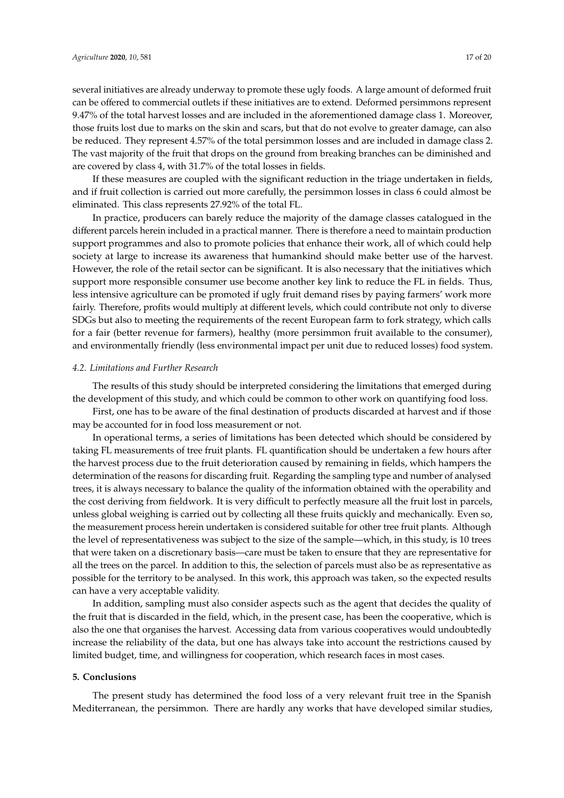several initiatives are already underway to promote these ugly foods. A large amount of deformed fruit can be offered to commercial outlets if these initiatives are to extend. Deformed persimmons represent 9.47% of the total harvest losses and are included in the aforementioned damage class 1. Moreover, those fruits lost due to marks on the skin and scars, but that do not evolve to greater damage, can also be reduced. They represent 4.57% of the total persimmon losses and are included in damage class 2. The vast majority of the fruit that drops on the ground from breaking branches can be diminished and are covered by class 4, with 31.7% of the total losses in fields.

If these measures are coupled with the significant reduction in the triage undertaken in fields, and if fruit collection is carried out more carefully, the persimmon losses in class 6 could almost be eliminated. This class represents 27.92% of the total FL.

In practice, producers can barely reduce the majority of the damage classes catalogued in the different parcels herein included in a practical manner. There is therefore a need to maintain production support programmes and also to promote policies that enhance their work, all of which could help society at large to increase its awareness that humankind should make better use of the harvest. However, the role of the retail sector can be significant. It is also necessary that the initiatives which support more responsible consumer use become another key link to reduce the FL in fields. Thus, less intensive agriculture can be promoted if ugly fruit demand rises by paying farmers' work more fairly. Therefore, profits would multiply at different levels, which could contribute not only to diverse SDGs but also to meeting the requirements of the recent European farm to fork strategy, which calls for a fair (better revenue for farmers), healthy (more persimmon fruit available to the consumer), and environmentally friendly (less environmental impact per unit due to reduced losses) food system.

# *4.2. Limitations and Further Research*

The results of this study should be interpreted considering the limitations that emerged during the development of this study, and which could be common to other work on quantifying food loss.

First, one has to be aware of the final destination of products discarded at harvest and if those may be accounted for in food loss measurement or not.

In operational terms, a series of limitations has been detected which should be considered by taking FL measurements of tree fruit plants. FL quantification should be undertaken a few hours after the harvest process due to the fruit deterioration caused by remaining in fields, which hampers the determination of the reasons for discarding fruit. Regarding the sampling type and number of analysed trees, it is always necessary to balance the quality of the information obtained with the operability and the cost deriving from fieldwork. It is very difficult to perfectly measure all the fruit lost in parcels, unless global weighing is carried out by collecting all these fruits quickly and mechanically. Even so, the measurement process herein undertaken is considered suitable for other tree fruit plants. Although the level of representativeness was subject to the size of the sample—which, in this study, is 10 trees that were taken on a discretionary basis—care must be taken to ensure that they are representative for all the trees on the parcel. In addition to this, the selection of parcels must also be as representative as possible for the territory to be analysed. In this work, this approach was taken, so the expected results can have a very acceptable validity.

In addition, sampling must also consider aspects such as the agent that decides the quality of the fruit that is discarded in the field, which, in the present case, has been the cooperative, which is also the one that organises the harvest. Accessing data from various cooperatives would undoubtedly increase the reliability of the data, but one has always take into account the restrictions caused by limited budget, time, and willingness for cooperation, which research faces in most cases.

## **5. Conclusions**

The present study has determined the food loss of a very relevant fruit tree in the Spanish Mediterranean, the persimmon. There are hardly any works that have developed similar studies,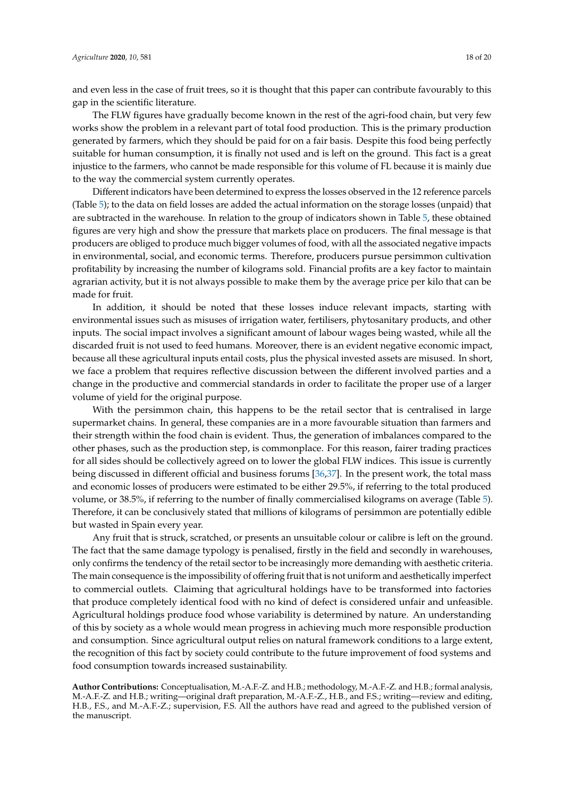and even less in the case of fruit trees, so it is thought that this paper can contribute favourably to this gap in the scientific literature.

The FLW figures have gradually become known in the rest of the agri-food chain, but very few works show the problem in a relevant part of total food production. This is the primary production generated by farmers, which they should be paid for on a fair basis. Despite this food being perfectly suitable for human consumption, it is finally not used and is left on the ground. This fact is a great injustice to the farmers, who cannot be made responsible for this volume of FL because it is mainly due to the way the commercial system currently operates.

Different indicators have been determined to express the losses observed in the 12 reference parcels (Table [5\)](#page-11-0); to the data on field losses are added the actual information on the storage losses (unpaid) that are subtracted in the warehouse. In relation to the group of indicators shown in Table [5,](#page-11-0) these obtained figures are very high and show the pressure that markets place on producers. The final message is that producers are obliged to produce much bigger volumes of food, with all the associated negative impacts in environmental, social, and economic terms. Therefore, producers pursue persimmon cultivation profitability by increasing the number of kilograms sold. Financial profits are a key factor to maintain agrarian activity, but it is not always possible to make them by the average price per kilo that can be made for fruit.

In addition, it should be noted that these losses induce relevant impacts, starting with environmental issues such as misuses of irrigation water, fertilisers, phytosanitary products, and other inputs. The social impact involves a significant amount of labour wages being wasted, while all the discarded fruit is not used to feed humans. Moreover, there is an evident negative economic impact, because all these agricultural inputs entail costs, plus the physical invested assets are misused. In short, we face a problem that requires reflective discussion between the different involved parties and a change in the productive and commercial standards in order to facilitate the proper use of a larger volume of yield for the original purpose.

With the persimmon chain, this happens to be the retail sector that is centralised in large supermarket chains. In general, these companies are in a more favourable situation than farmers and their strength within the food chain is evident. Thus, the generation of imbalances compared to the other phases, such as the production step, is commonplace. For this reason, fairer trading practices for all sides should be collectively agreed on to lower the global FLW indices. This issue is currently being discussed in different official and business forums [\[36](#page-19-15)[,37\]](#page-19-16). In the present work, the total mass and economic losses of producers were estimated to be either 29.5%, if referring to the total produced volume, or 38.5%, if referring to the number of finally commercialised kilograms on average (Table [5\)](#page-11-0). Therefore, it can be conclusively stated that millions of kilograms of persimmon are potentially edible but wasted in Spain every year.

Any fruit that is struck, scratched, or presents an unsuitable colour or calibre is left on the ground. The fact that the same damage typology is penalised, firstly in the field and secondly in warehouses, only confirms the tendency of the retail sector to be increasingly more demanding with aesthetic criteria. The main consequence is the impossibility of offering fruit that is not uniform and aesthetically imperfect to commercial outlets. Claiming that agricultural holdings have to be transformed into factories that produce completely identical food with no kind of defect is considered unfair and unfeasible. Agricultural holdings produce food whose variability is determined by nature. An understanding of this by society as a whole would mean progress in achieving much more responsible production and consumption. Since agricultural output relies on natural framework conditions to a large extent, the recognition of this fact by society could contribute to the future improvement of food systems and food consumption towards increased sustainability.

**Author Contributions:** Conceptualisation, M.-A.F.-Z. and H.B.; methodology, M.-A.F.-Z. and H.B.; formal analysis, M.-A.F.-Z. and H.B.; writing—original draft preparation, M.-A.F.-Z., H.B., and F.S.; writing—review and editing, H.B., F.S., and M.-A.F.-Z.; supervision, F.S. All the authors have read and agreed to the published version of the manuscript.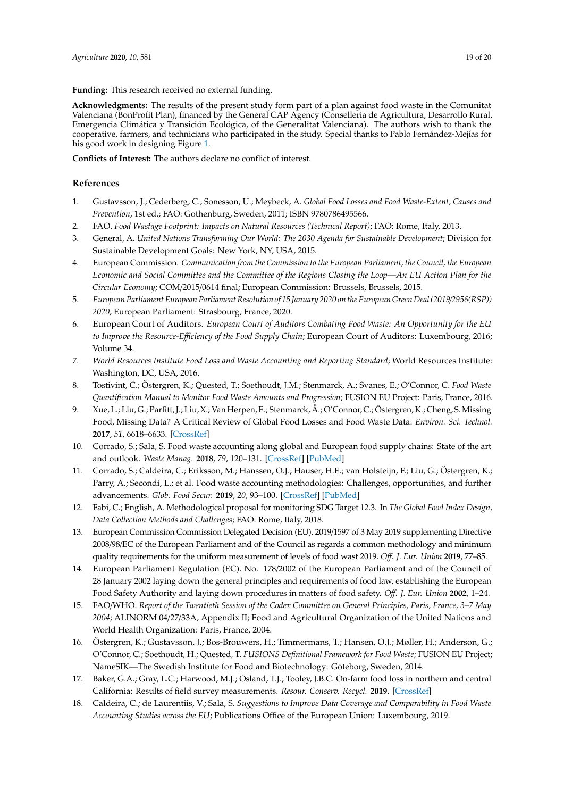**Funding:** This research received no external funding.

**Acknowledgments:** The results of the present study form part of a plan against food waste in the Comunitat Valenciana (BonProfit Plan), financed by the General CAP Agency (Conselleria de Agricultura, Desarrollo Rural, Emergencia Climática y Transición Ecológica, of the Generalitat Valenciana). The authors wish to thank the cooperative, farmers, and technicians who participated in the study. Special thanks to Pablo Fernández-Mejías for his good work in designing Figure [1.](#page-3-0)

**Conflicts of Interest:** The authors declare no conflict of interest.

## **References**

- <span id="page-18-0"></span>1. Gustavsson, J.; Cederberg, C.; Sonesson, U.; Meybeck, A. *Global Food Losses and Food Waste-Extent, Causes and Prevention*, 1st ed.; FAO: Gothenburg, Sweden, 2011; ISBN 9780786495566.
- <span id="page-18-1"></span>2. FAO. *Food Wastage Footprint: Impacts on Natural Resources (Technical Report)*; FAO: Rome, Italy, 2013.
- <span id="page-18-2"></span>3. General, A. *United Nations Transforming Our World: The 2030 Agenda for Sustainable Development*; Division for Sustainable Development Goals: New York, NY, USA, 2015.
- <span id="page-18-3"></span>4. European Commission. *Communication from the Commission to the European Parliament, the Council, the European Economic and Social Committee and the Committee of the Regions Closing the Loop—An EU Action Plan for the Circular Economy*; COM/2015/0614 final; European Commission: Brussels, Brussels, 2015.
- <span id="page-18-4"></span>5. *European Parliament European Parliament Resolution of 15 January 2020 on the European Green Deal (2019*/*2956(RSP)) 2020*; European Parliament: Strasbourg, France, 2020.
- <span id="page-18-5"></span>6. European Court of Auditors. *European Court of Auditors Combating Food Waste: An Opportunity for the EU to Improve the Resource-E*ffi*ciency of the Food Supply Chain*; European Court of Auditors: Luxembourg, 2016; Volume 34.
- <span id="page-18-6"></span>7. *World Resources Institute Food Loss and Waste Accounting and Reporting Standard*; World Resources Institute: Washington, DC, USA, 2016.
- <span id="page-18-7"></span>8. Tostivint, C.; Östergren, K.; Quested, T.; Soethoudt, J.M.; Stenmarck, A.; Svanes, E.; O'Connor, C. *Food Waste Quantification Manual to Monitor Food Waste Amounts and Progression*; FUSION EU Project: Paris, France, 2016.
- <span id="page-18-8"></span>9. Xue, L.; Liu, G.; Parfitt, J.; Liu, X.; Van Herpen, E.; Stenmarck, Å.; O'Connor, C.; Östergren, K.; Cheng, S.Missing Food, Missing Data? A Critical Review of Global Food Losses and Food Waste Data. *Environ. Sci. Technol.* **2017**, *51*, 6618–6633. [\[CrossRef\]](http://dx.doi.org/10.1021/acs.est.7b00401)
- <span id="page-18-9"></span>10. Corrado, S.; Sala, S. Food waste accounting along global and European food supply chains: State of the art and outlook. *Waste Manag.* **2018**, *79*, 120–131. [\[CrossRef\]](http://dx.doi.org/10.1016/j.wasman.2018.07.032) [\[PubMed\]](http://www.ncbi.nlm.nih.gov/pubmed/30343738)
- <span id="page-18-10"></span>11. Corrado, S.; Caldeira, C.; Eriksson, M.; Hanssen, O.J.; Hauser, H.E.; van Holsteijn, F.; Liu, G.; Östergren, K.; Parry, A.; Secondi, L.; et al. Food waste accounting methodologies: Challenges, opportunities, and further advancements. *Glob. Food Secur.* **2019**, *20*, 93–100. [\[CrossRef\]](http://dx.doi.org/10.1016/j.gfs.2019.01.002) [\[PubMed\]](http://www.ncbi.nlm.nih.gov/pubmed/31008044)
- <span id="page-18-11"></span>12. Fabi, C.; English, A. Methodological proposal for monitoring SDG Target 12.3. In *The Global Food Index Design, Data Collection Methods and Challenges*; FAO: Rome, Italy, 2018.
- <span id="page-18-12"></span>13. European Commission Commission Delegated Decision (EU). 2019/1597 of 3 May 2019 supplementing Directive 2008/98/EC of the European Parliament and of the Council as regards a common methodology and minimum quality requirements for the uniform measurement of levels of food wast 2019. *Off. J. Eur. Union* **2019**, 77–85.
- <span id="page-18-13"></span>14. European Parliament Regulation (EC). No. 178/2002 of the European Parliament and of the Council of 28 January 2002 laying down the general principles and requirements of food law, establishing the European Food Safety Authority and laying down procedures in matters of food safety. *O*ff*. J. Eur. Union* **2002**, 1–24.
- <span id="page-18-14"></span>15. FAO/WHO. *Report of the Twentieth Session of the Codex Committee on General Principles, Paris, France, 3–7 May 2004*; ALINORM 04/27/33A, Appendix II; Food and Agricultural Organization of the United Nations and World Health Organization: Paris, France, 2004.
- <span id="page-18-15"></span>16. Östergren, K.; Gustavsson, J.; Bos-Brouwers, H.; Timmermans, T.; Hansen, O.J.; Møller, H.; Anderson, G.; O'Connor, C.; Soethoudt, H.; Quested, T. *FUSIONS Definitional Framework for Food Waste*; FUSION EU Project; NameSIK—The Swedish Institute for Food and Biotechnology: Göteborg, Sweden, 2014.
- <span id="page-18-16"></span>17. Baker, G.A.; Gray, L.C.; Harwood, M.J.; Osland, T.J.; Tooley, J.B.C. On-farm food loss in northern and central California: Results of field survey measurements. *Resour. Conserv. Recycl.* **2019**. [\[CrossRef\]](http://dx.doi.org/10.1016/j.resconrec.2019.03.022)
- <span id="page-18-17"></span>18. Caldeira, C.; de Laurentiis, V.; Sala, S. *Suggestions to Improve Data Coverage and Comparability in Food Waste Accounting Studies across the EU*; Publications Office of the European Union: Luxembourg, 2019.